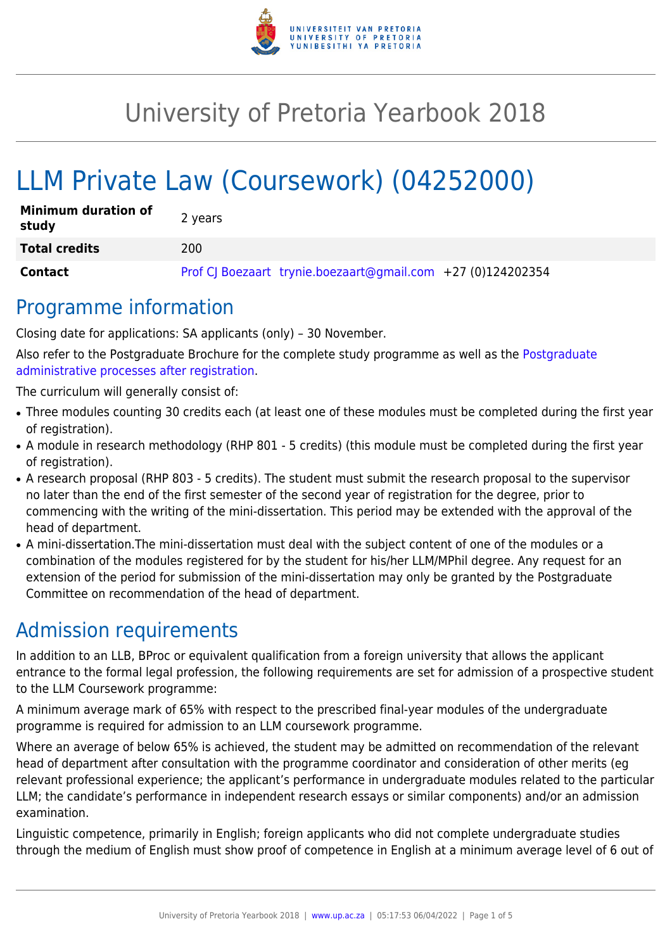

# University of Pretoria Yearbook 2018

# LLM Private Law (Coursework) (04252000)

| <b>Minimum duration of</b><br>study | 2 years                                                     |
|-------------------------------------|-------------------------------------------------------------|
| <b>Total credits</b>                | 200                                                         |
| <b>Contact</b>                      | Prof CJ Boezaart trynie.boezaart@gmail.com +27 (0)124202354 |

### Programme information

Closing date for applications: SA applicants (only) – 30 November.

Also refer to the Postgraduate Brochure for the complete study programme as well as the [Postgraduate](http://www.up.ac.za/media/shared/10/ZP_Files/post-graduate-administrative-processes-brochures-for-the-faculty-web.zp124870.pdf) [administrative processes after registration.](http://www.up.ac.za/media/shared/10/ZP_Files/post-graduate-administrative-processes-brochures-for-the-faculty-web.zp124870.pdf)

The curriculum will generally consist of:

- Three modules counting 30 credits each (at least one of these modules must be completed during the first year of registration).
- A module in research methodology (RHP 801 5 credits) (this module must be completed during the first year of registration).
- A research proposal (RHP 803 5 credits). The student must submit the research proposal to the supervisor no later than the end of the first semester of the second year of registration for the degree, prior to commencing with the writing of the mini-dissertation. This period may be extended with the approval of the head of department.
- A mini-dissertation. The mini-dissertation must deal with the subject content of one of the modules or a combination of the modules registered for by the student for his/her LLM/MPhil degree. Any request for an extension of the period for submission of the mini-dissertation may only be granted by the Postgraduate Committee on recommendation of the head of department.

# Admission requirements

In addition to an LLB, BProc or equivalent qualification from a foreign university that allows the applicant entrance to the formal legal profession, the following requirements are set for admission of a prospective student to the LLM Coursework programme:

A minimum average mark of 65% with respect to the prescribed final-year modules of the undergraduate programme is required for admission to an LLM coursework programme.

Where an average of below 65% is achieved, the student may be admitted on recommendation of the relevant head of department after consultation with the programme coordinator and consideration of other merits (eg relevant professional experience; the applicant's performance in undergraduate modules related to the particular LLM; the candidate's performance in independent research essays or similar components) and/or an admission examination.

Linguistic competence, primarily in English; foreign applicants who did not complete undergraduate studies through the medium of English must show proof of competence in English at a minimum average level of 6 out of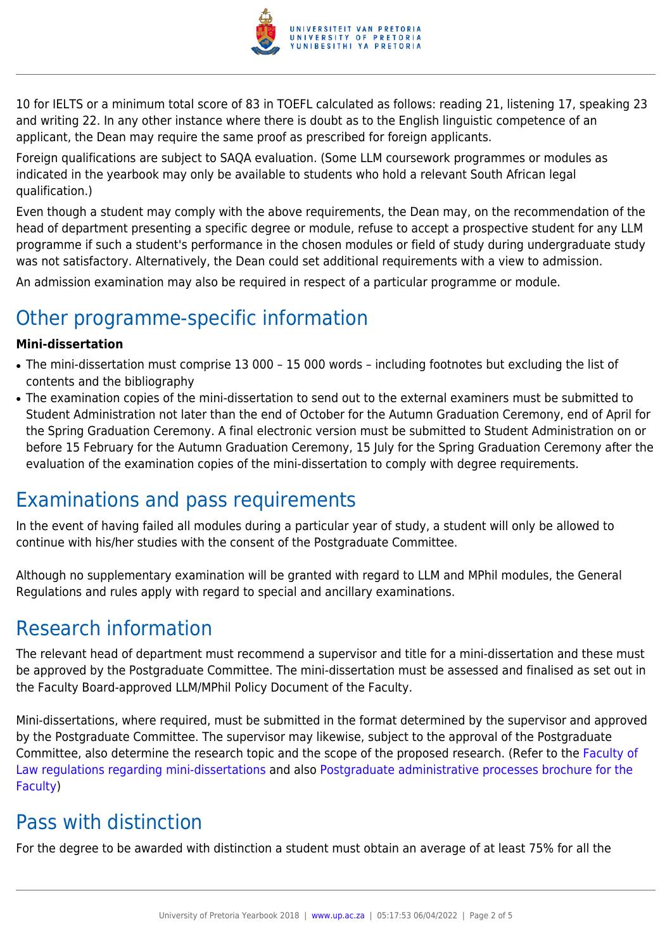

10 for IELTS or a minimum total score of 83 in TOEFL calculated as follows: reading 21, listening 17, speaking 23 and writing 22. In any other instance where there is doubt as to the English linguistic competence of an applicant, the Dean may require the same proof as prescribed for foreign applicants.

Foreign qualifications are subject to SAQA evaluation. (Some LLM coursework programmes or modules as indicated in the yearbook may only be available to students who hold a relevant South African legal qualification.)

Even though a student may comply with the above requirements, the Dean may, on the recommendation of the head of department presenting a specific degree or module, refuse to accept a prospective student for any LLM programme if such a student's performance in the chosen modules or field of study during undergraduate study was not satisfactory. Alternatively, the Dean could set additional requirements with a view to admission.

An admission examination may also be required in respect of a particular programme or module.

# Other programme-specific information

#### **Mini-dissertation**

- The mini-dissertation must comprise 13 000 15 000 words including footnotes but excluding the list of contents and the bibliography
- The examination copies of the mini-dissertation to send out to the external examiners must be submitted to Student Administration not later than the end of October for the Autumn Graduation Ceremony, end of April for the Spring Graduation Ceremony. A final electronic version must be submitted to Student Administration on or before 15 February for the Autumn Graduation Ceremony, 15 July for the Spring Graduation Ceremony after the evaluation of the examination copies of the mini-dissertation to comply with degree requirements.

## Examinations and pass requirements

In the event of having failed all modules during a particular year of study, a student will only be allowed to continue with his/her studies with the consent of the Postgraduate Committee.

Although no supplementary examination will be granted with regard to LLM and MPhil modules, the General Regulations and rules apply with regard to special and ancillary examinations.

### Research information

The relevant head of department must recommend a supervisor and title for a mini-dissertation and these must be approved by the Postgraduate Committee. The mini-dissertation must be assessed and finalised as set out in the Faculty Board-approved LLM/MPhil Policy Document of the Faculty.

Mini-dissertations, where required, must be submitted in the format determined by the supervisor and approved by the Postgraduate Committee. The supervisor may likewise, subject to the approval of the Postgraduate Committee, also determine the research topic and the scope of the proposed research. (Refer to the [Faculty of](http://www.up.ac.za/media/shared/10/ZP_Files/faculty-regulations-for-the-mini-dissertation.zp124872.pdf) [Law regulations regarding mini-dissertations](http://www.up.ac.za/media/shared/10/ZP_Files/faculty-regulations-for-the-mini-dissertation.zp124872.pdf) and also [Postgraduate administrative processes brochure for the](http://www.up.ac.za/media/shared/10/ZP_Files/post-graduate-administrative-processes-brochures-for-the-faculty-web.zp124870.pdf) [Faculty](http://www.up.ac.za/media/shared/10/ZP_Files/post-graduate-administrative-processes-brochures-for-the-faculty-web.zp124870.pdf))

# Pass with distinction

For the degree to be awarded with distinction a student must obtain an average of at least 75% for all the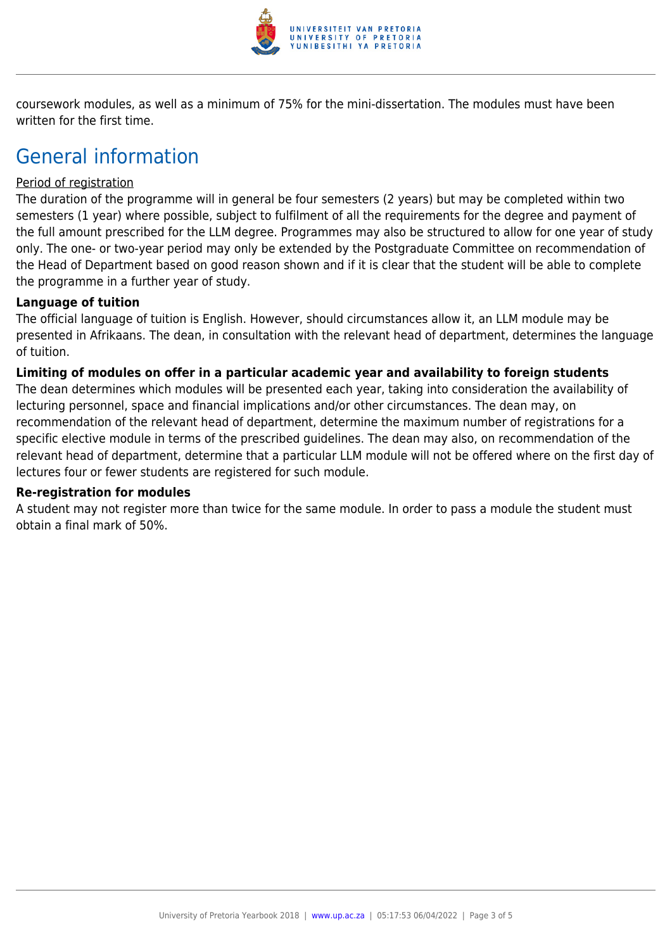

coursework modules, as well as a minimum of 75% for the mini-dissertation. The modules must have been written for the first time.

## General information

#### Period of registration

The duration of the programme will in general be four semesters (2 years) but may be completed within two semesters (1 year) where possible, subject to fulfilment of all the requirements for the degree and payment of the full amount prescribed for the LLM degree. Programmes may also be structured to allow for one year of study only. The one- or two-year period may only be extended by the Postgraduate Committee on recommendation of the Head of Department based on good reason shown and if it is clear that the student will be able to complete the programme in a further year of study.

#### **Language of tuition**

The official language of tuition is English. However, should circumstances allow it, an LLM module may be presented in Afrikaans. The dean, in consultation with the relevant head of department, determines the language of tuition.

#### **Limiting of modules on offer in a particular academic year and availability to foreign students**

The dean determines which modules will be presented each year, taking into consideration the availability of lecturing personnel, space and financial implications and/or other circumstances. The dean may, on recommendation of the relevant head of department, determine the maximum number of registrations for a specific elective module in terms of the prescribed guidelines. The dean may also, on recommendation of the relevant head of department, determine that a particular LLM module will not be offered where on the first day of lectures four or fewer students are registered for such module.

#### **Re-registration for modules**

A student may not register more than twice for the same module. In order to pass a module the student must obtain a final mark of 50%.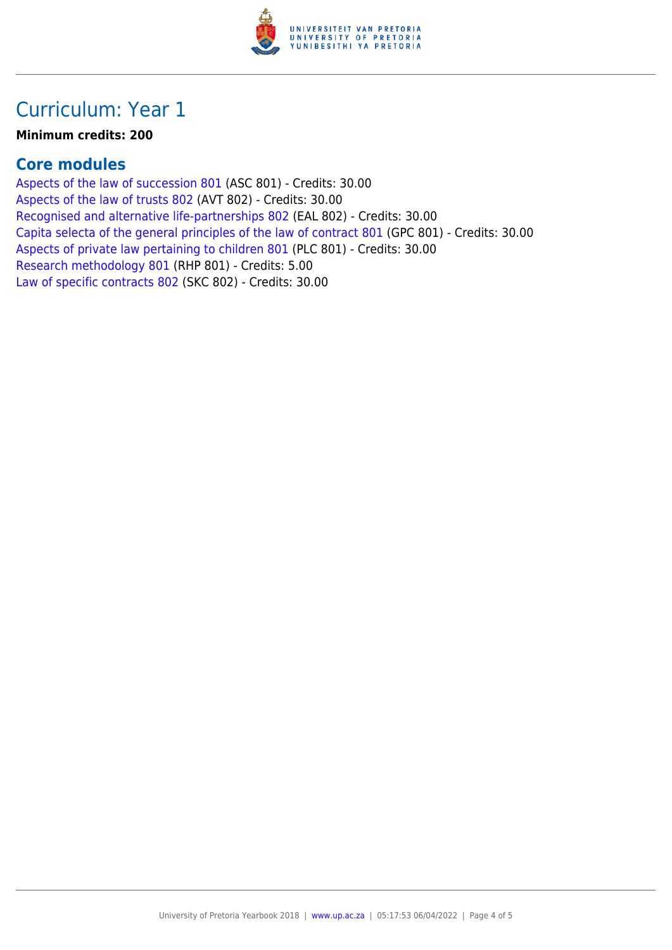

### Curriculum: Year 1

#### **Minimum credits: 200**

#### **Core modules**

[Aspects of the law of succession 801](https://www.up.ac.za/yearbooks/2018/modules/view/ASC 801) (ASC 801) - Credits: 30.00 [Aspects of the law of trusts 802](https://www.up.ac.za/yearbooks/2018/modules/view/AVT 802) (AVT 802) - Credits: 30.00 [Recognised and alternative life-partnerships 802](https://www.up.ac.za/yearbooks/2018/modules/view/EAL 802) (EAL 802) - Credits: 30.00 [Capita selecta of the general principles of the law of contract 801](https://www.up.ac.za/yearbooks/2018/modules/view/GPC 801) (GPC 801) - Credits: 30.00 [Aspects of private law pertaining to children 801](https://www.up.ac.za/yearbooks/2018/modules/view/PLC 801) (PLC 801) - Credits: 30.00 [Research methodology 801](https://www.up.ac.za/yearbooks/2018/modules/view/RHP 801) (RHP 801) - Credits: 5.00 [Law of specific contracts 802](https://www.up.ac.za/yearbooks/2018/modules/view/SKC 802) (SKC 802) - Credits: 30.00